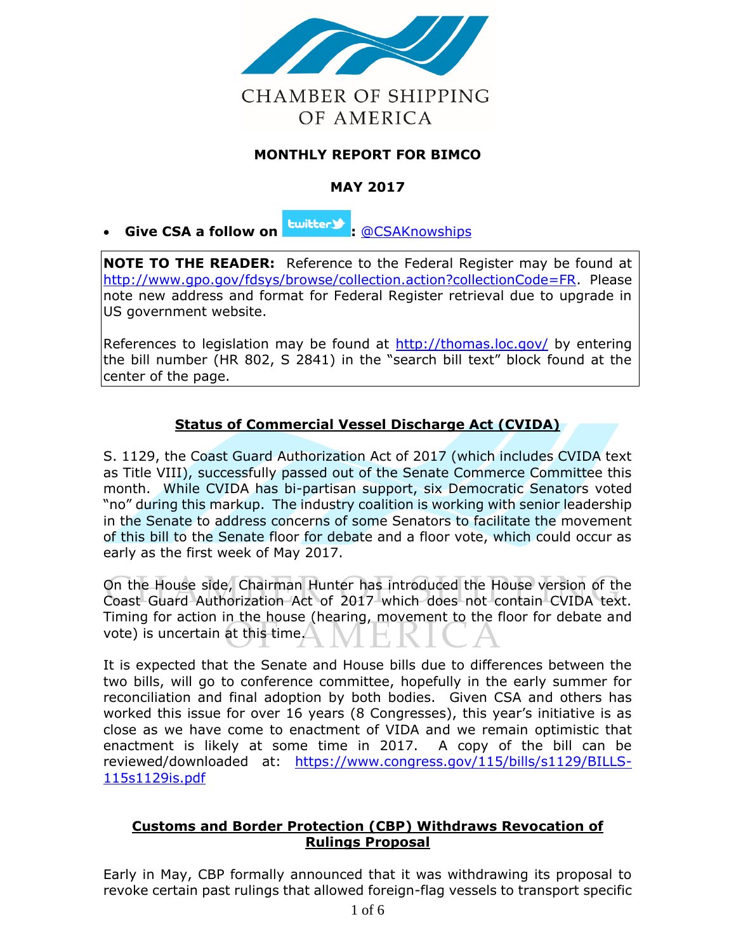

# **MONTHLY REPORT FOR BIMCO**

# **MAY 2017**

**Give CSA a follow on <sup>twitter</sub> :** [@CSAKnowships](https://twitter.com/CSAKnowships)</sup>

**NOTE TO THE READER:** Reference to the Federal Register may be found at [http://www.gpo.gov/fdsys/browse/collection.action?collectionCode=FR.](http://www.gpo.gov/fdsys/browse/collection.action?collectionCode=FR) Please note new address and format for Federal Register retrieval due to upgrade in US government website.

References to legislation may be found at<http://thomas.loc.gov/> by entering the bill number (HR 802, S 2841) in the "search bill text" block found at the center of the page.

# **Status of Commercial Vessel Discharge Act (CVIDA)**

S. 1129, the Coast Guard Authorization Act of 2017 (which includes CVIDA text as Title VIII), successfully passed out of the Senate Commerce Committee this month. While CVIDA has bi-partisan support, six Democratic Senators voted "no" during this markup. The industry coalition is working with senior leadership in the Senate to address concerns of some Senators to facilitate the movement of this bill to the Senate floor for debate and a floor vote, which could occur as early as the first week of May 2017.

On the House side, Chairman Hunter has introduced the House version of the Coast Guard Authorization Act of 2017 which does not contain CVIDA text. Timing for action in the house (hearing, movement to the floor for debate and vote) is uncertain at this time.

It is expected that the Senate and House bills due to differences between the two bills, will go to conference committee, hopefully in the early summer for reconciliation and final adoption by both bodies. Given CSA and others has worked this issue for over 16 years (8 Congresses), this year's initiative is as close as we have come to enactment of VIDA and we remain optimistic that enactment is likely at some time in 2017. A copy of the bill can be reviewed/downloaded at: [https://www.congress.gov/115/bills/s1129/BILLS-](https://www.congress.gov/115/bills/s1129/BILLS-115s1129is.pdf)[115s1129is.pdf](https://www.congress.gov/115/bills/s1129/BILLS-115s1129is.pdf)

### **Customs and Border Protection (CBP) Withdraws Revocation of Rulings Proposal**

Early in May, CBP formally announced that it was withdrawing its proposal to revoke certain past rulings that allowed foreign-flag vessels to transport specific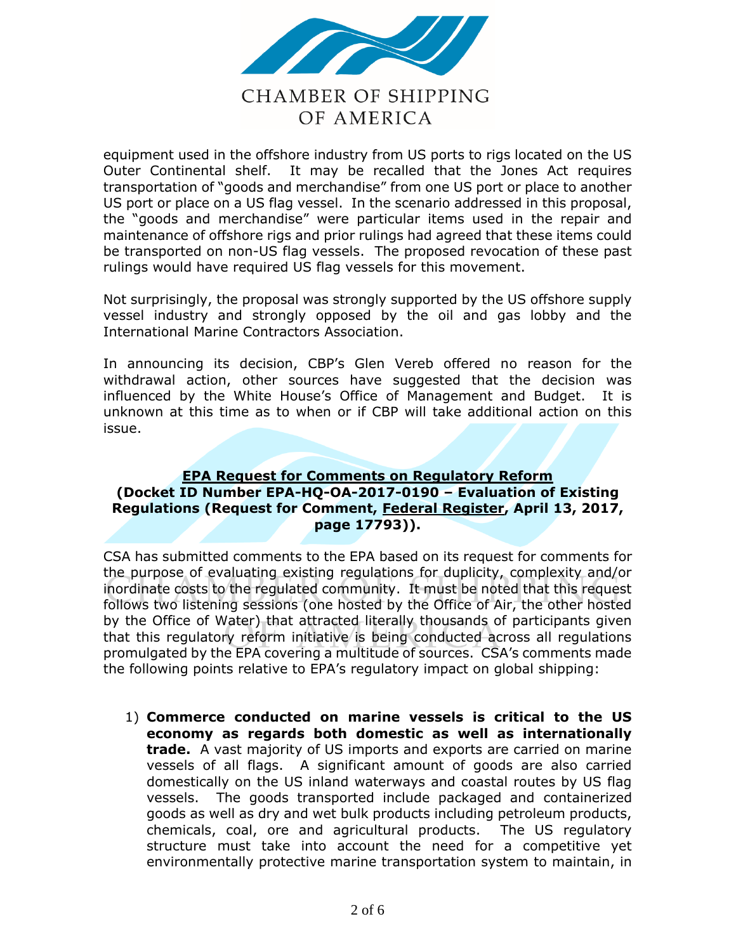

# **CHAMBER OF SHIPPING** OF AMERICA

equipment used in the offshore industry from US ports to rigs located on the US Outer Continental shelf. It may be recalled that the Jones Act requires transportation of "goods and merchandise" from one US port or place to another US port or place on a US flag vessel. In the scenario addressed in this proposal, the "goods and merchandise" were particular items used in the repair and maintenance of offshore rigs and prior rulings had agreed that these items could be transported on non-US flag vessels. The proposed revocation of these past rulings would have required US flag vessels for this movement.

Not surprisingly, the proposal was strongly supported by the US offshore supply vessel industry and strongly opposed by the oil and gas lobby and the International Marine Contractors Association.

In announcing its decision, CBP's Glen Vereb offered no reason for the withdrawal action, other sources have suggested that the decision was influenced by the White House's Office of Management and Budget. It is unknown at this time as to when or if CBP will take additional action on this issue.

#### **EPA Request for Comments on Regulatory Reform (Docket ID Number EPA-HQ-OA-2017-0190 – Evaluation of Existing Regulations (Request for Comment, Federal Register, April 13, 2017, page 17793)).**

CSA has submitted comments to the EPA based on its request for comments for the purpose of evaluating existing regulations for duplicity, complexity and/or inordinate costs to the regulated community. It must be noted that this request follows two listening sessions (one hosted by the Office of Air, the other hosted by the Office of Water) that attracted literally thousands of participants given that this regulatory reform initiative is being conducted across all regulations promulgated by the EPA covering a multitude of sources. CSA's comments made the following points relative to EPA's regulatory impact on global shipping:

1) **Commerce conducted on marine vessels is critical to the US economy as regards both domestic as well as internationally trade.** A vast majority of US imports and exports are carried on marine vessels of all flags. A significant amount of goods are also carried domestically on the US inland waterways and coastal routes by US flag vessels. The goods transported include packaged and containerized goods as well as dry and wet bulk products including petroleum products, chemicals, coal, ore and agricultural products. The US regulatory structure must take into account the need for a competitive yet environmentally protective marine transportation system to maintain, in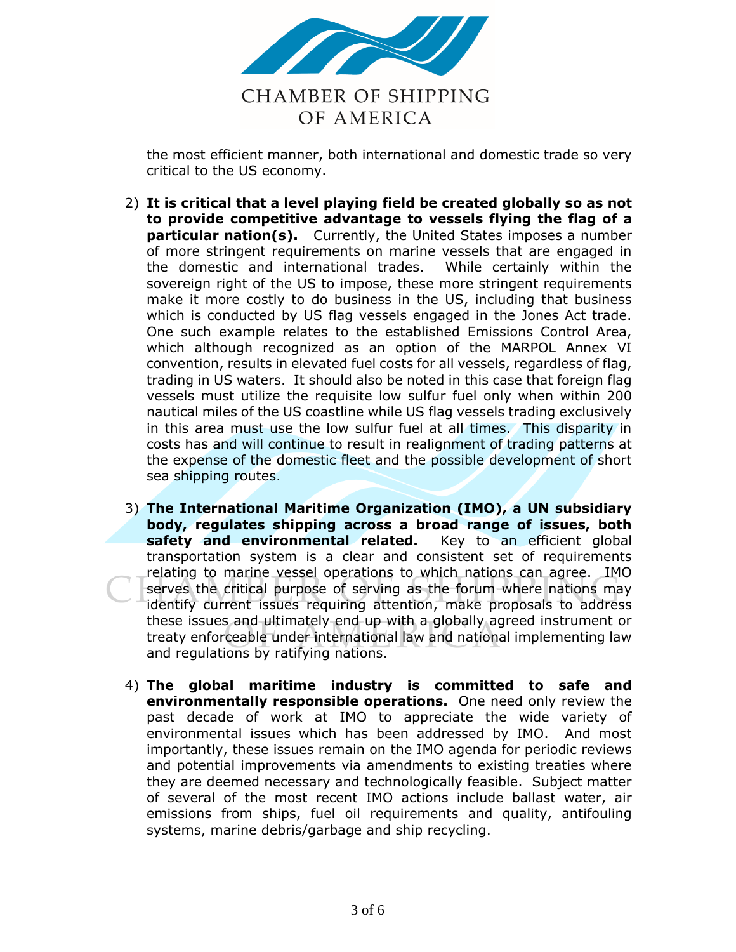

the most efficient manner, both international and domestic trade so very critical to the US economy.

- 2) **It is critical that a level playing field be created globally so as not to provide competitive advantage to vessels flying the flag of a particular nation(s).** Currently, the United States imposes a number of more stringent requirements on marine vessels that are engaged in the domestic and international trades. While certainly within the sovereign right of the US to impose, these more stringent requirements make it more costly to do business in the US, including that business which is conducted by US flag vessels engaged in the Jones Act trade. One such example relates to the established Emissions Control Area, which although recognized as an option of the MARPOL Annex VI convention, results in elevated fuel costs for all vessels, regardless of flag, trading in US waters. It should also be noted in this case that foreign flag vessels must utilize the requisite low sulfur fuel only when within 200 nautical miles of the US coastline while US flag vessels trading exclusively in this area must use the low sulfur fuel at all times. This disparity in costs has and will continue to result in realignment of trading patterns at the expense of the domestic fleet and the possible development of short sea shipping routes.
- 3) **The International Maritime Organization (IMO), a UN subsidiary body, regulates shipping across a broad range of issues, both safety and environmental related.** Key to an efficient global transportation system is a clear and consistent set of requirements relating to marine vessel operations to which nations can agree. IMO serves the critical purpose of serving as the forum where nations may identify current issues requiring attention, make proposals to address these issues and ultimately end up with a globally agreed instrument or treaty enforceable under international law and national implementing law and regulations by ratifying nations.
- 4) **The global maritime industry is committed to safe and environmentally responsible operations.** One need only review the past decade of work at IMO to appreciate the wide variety of environmental issues which has been addressed by IMO. And most importantly, these issues remain on the IMO agenda for periodic reviews and potential improvements via amendments to existing treaties where they are deemed necessary and technologically feasible. Subject matter of several of the most recent IMO actions include ballast water, air emissions from ships, fuel oil requirements and quality, antifouling systems, marine debris/garbage and ship recycling.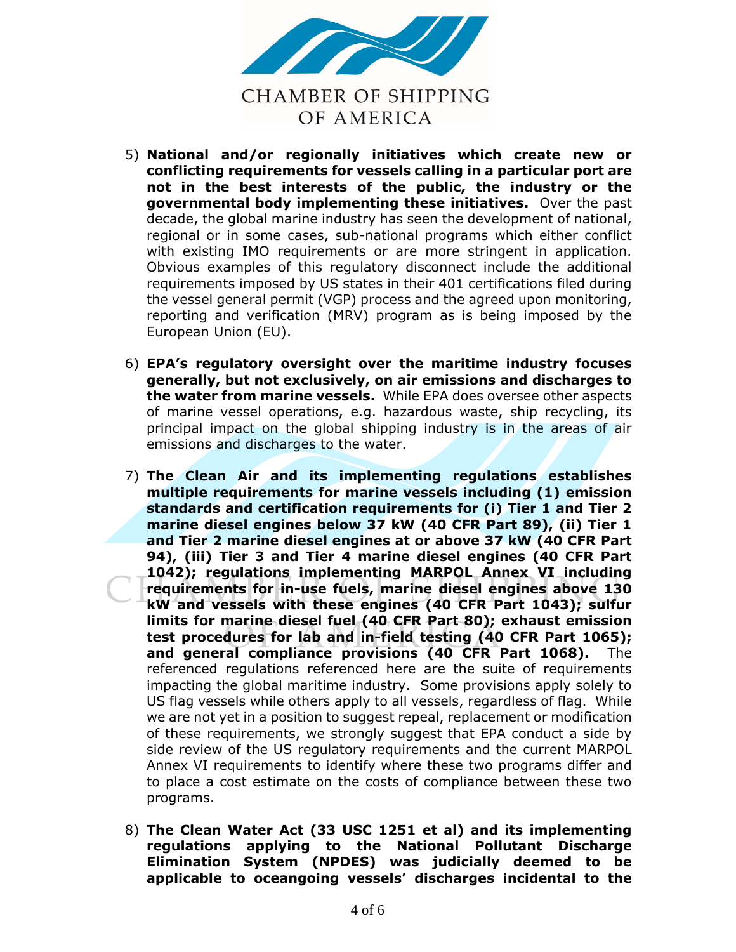

- 5) **National and/or regionally initiatives which create new or conflicting requirements for vessels calling in a particular port are not in the best interests of the public, the industry or the governmental body implementing these initiatives.** Over the past decade, the global marine industry has seen the development of national, regional or in some cases, sub-national programs which either conflict with existing IMO requirements or are more stringent in application. Obvious examples of this regulatory disconnect include the additional requirements imposed by US states in their 401 certifications filed during the vessel general permit (VGP) process and the agreed upon monitoring, reporting and verification (MRV) program as is being imposed by the European Union (EU).
- 6) **EPA's regulatory oversight over the maritime industry focuses generally, but not exclusively, on air emissions and discharges to the water from marine vessels.** While EPA does oversee other aspects of marine vessel operations, e.g. hazardous waste, ship recycling, its principal impact on the global shipping industry is in the areas of air emissions and discharges to the water.
- 7) **The Clean Air and its implementing regulations establishes multiple requirements for marine vessels including (1) emission standards and certification requirements for (i) Tier 1 and Tier 2 marine diesel engines below 37 kW (40 CFR Part 89), (ii) Tier 1 and Tier 2 marine diesel engines at or above 37 kW (40 CFR Part 94), (iii) Tier 3 and Tier 4 marine diesel engines (40 CFR Part 1042); regulations implementing MARPOL Annex VI including requirements for in-use fuels, marine diesel engines above 130 kW and vessels with these engines (40 CFR Part 1043); sulfur limits for marine diesel fuel (40 CFR Part 80); exhaust emission test procedures for lab and in-field testing (40 CFR Part 1065); and general compliance provisions (40 CFR Part 1068).** The referenced regulations referenced here are the suite of requirements impacting the global maritime industry. Some provisions apply solely to US flag vessels while others apply to all vessels, regardless of flag. While we are not yet in a position to suggest repeal, replacement or modification of these requirements, we strongly suggest that EPA conduct a side by side review of the US regulatory requirements and the current MARPOL Annex VI requirements to identify where these two programs differ and to place a cost estimate on the costs of compliance between these two programs.
- 8) **The Clean Water Act (33 USC 1251 et al) and its implementing regulations applying to the National Pollutant Discharge Elimination System (NPDES) was judicially deemed to be applicable to oceangoing vessels' discharges incidental to the**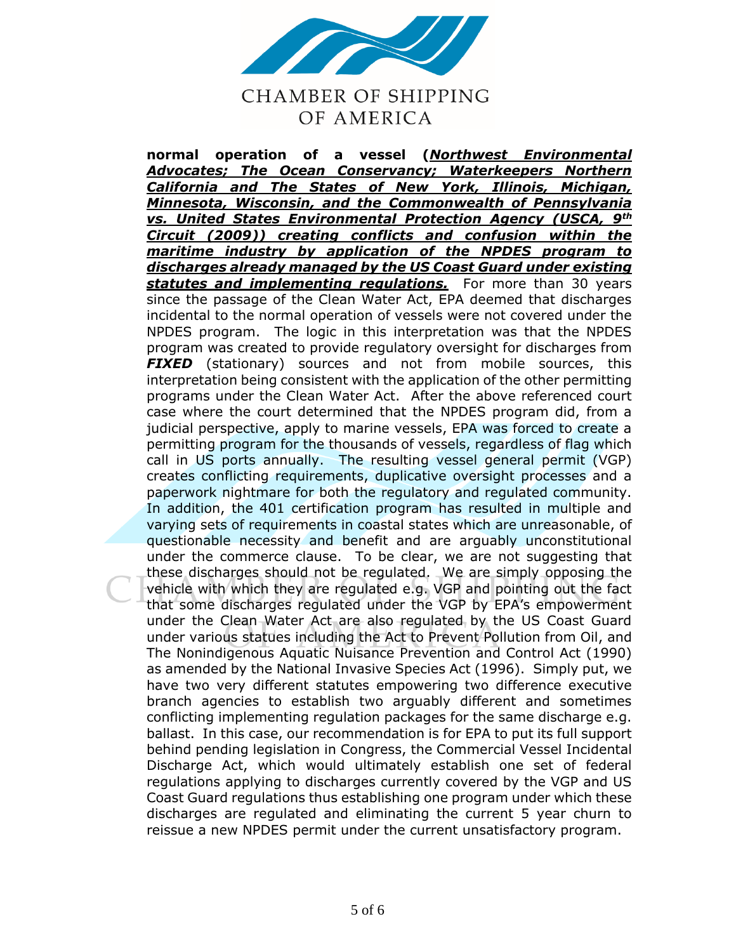

**CHAMBER OF SHIPPING** OF AMERICA

**normal operation of a vessel (***Northwest Environmental Advocates; The Ocean Conservancy; Waterkeepers Northern California and The States of New York, Illinois, Michigan, Minnesota, Wisconsin, and the Commonwealth of Pennsylvania vs. United States Environmental Protection Agency (USCA, 9th Circuit (2009)) creating conflicts and confusion within the maritime industry by application of the NPDES program to discharges already managed by the US Coast Guard under existing statutes and implementing regulations.* For more than 30 years since the passage of the Clean Water Act, EPA deemed that discharges incidental to the normal operation of vessels were not covered under the NPDES program. The logic in this interpretation was that the NPDES program was created to provide regulatory oversight for discharges from **FIXED** (stationary) sources and not from mobile sources, this interpretation being consistent with the application of the other permitting programs under the Clean Water Act. After the above referenced court case where the court determined that the NPDES program did, from a judicial perspective, apply to marine vessels, EPA was forced to create a permitting program for the thousands of vessels, regardless of flag which call in US ports annually. The resulting vessel general permit (VGP) creates conflicting requirements, duplicative oversight processes and a paperwork nightmare for both the regulatory and regulated community. In addition, the 401 certification program has resulted in multiple and varying sets of requirements in coastal states which are unreasonable, of questionable necessity and benefit and are arguably unconstitutional under the commerce clause. To be clear, we are not suggesting that these discharges should not be regulated. We are simply opposing the vehicle with which they are regulated e.g. VGP and pointing out the fact that some discharges regulated under the VGP by EPA's empowerment under the Clean Water Act are also regulated by the US Coast Guard under various statues including the Act to Prevent Pollution from Oil, and The Nonindigenous Aquatic Nuisance Prevention and Control Act (1990) as amended by the National Invasive Species Act (1996). Simply put, we have two very different statutes empowering two difference executive branch agencies to establish two arguably different and sometimes conflicting implementing regulation packages for the same discharge e.g. ballast. In this case, our recommendation is for EPA to put its full support behind pending legislation in Congress, the Commercial Vessel Incidental Discharge Act, which would ultimately establish one set of federal regulations applying to discharges currently covered by the VGP and US Coast Guard regulations thus establishing one program under which these discharges are regulated and eliminating the current 5 year churn to reissue a new NPDES permit under the current unsatisfactory program.